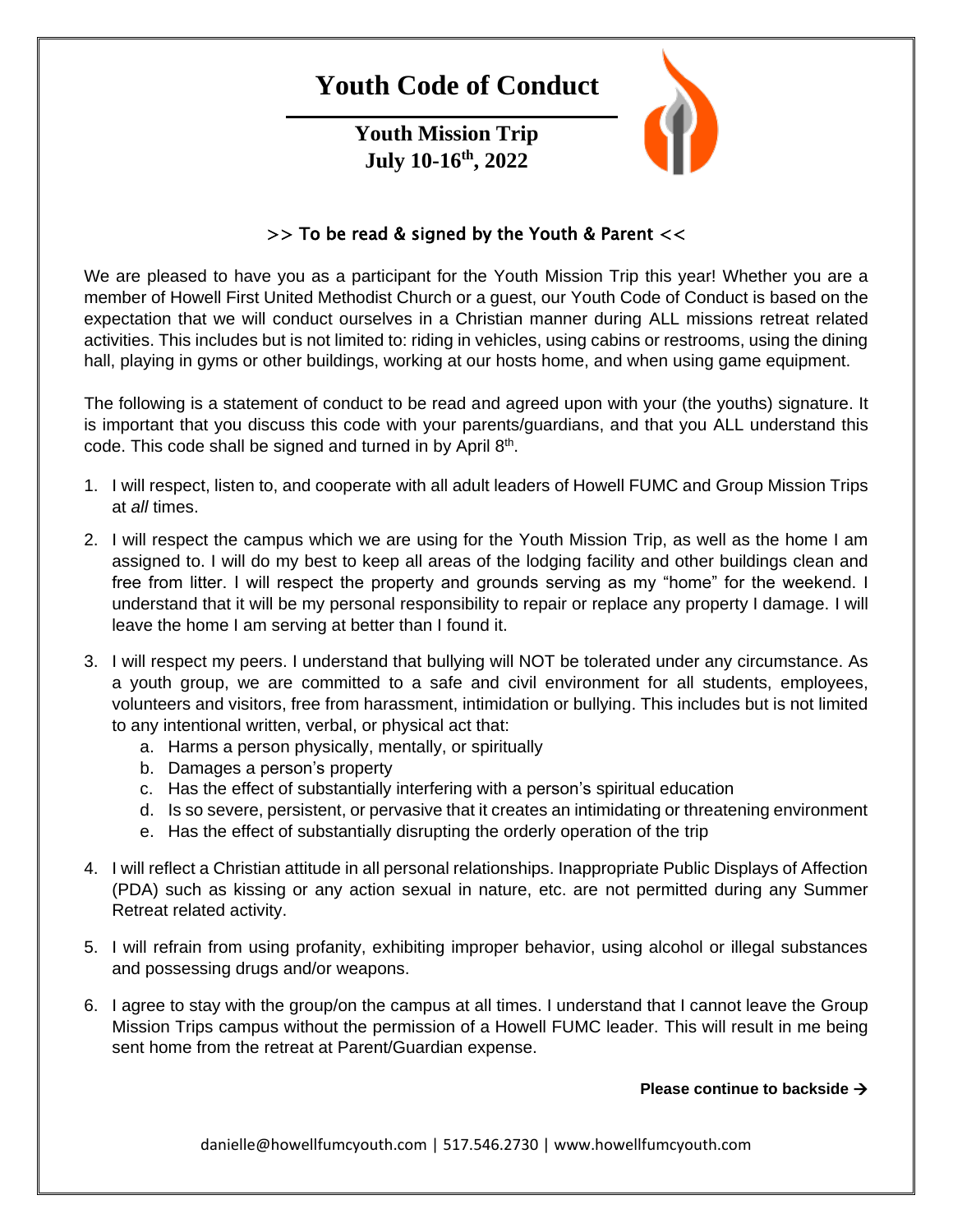# **Youth Code of Conduct**

**Youth Mission Trip July 10-16th, 2022**



## $>>$  To be read & signed by the Youth & Parent  $<<$

We are pleased to have you as a participant for the Youth Mission Trip this year! Whether you are a member of Howell First United Methodist Church or a guest, our Youth Code of Conduct is based on the expectation that we will conduct ourselves in a Christian manner during ALL missions retreat related activities. This includes but is not limited to: riding in vehicles, using cabins or restrooms, using the dining hall, playing in gyms or other buildings, working at our hosts home, and when using game equipment.

The following is a statement of conduct to be read and agreed upon with your (the youths) signature. It is important that you discuss this code with your parents/guardians, and that you ALL understand this code. This code shall be signed and turned in by April  $8<sup>th</sup>$ .

- 1. I will respect, listen to, and cooperate with all adult leaders of Howell FUMC and Group Mission Trips at *all* times.
- 2. I will respect the campus which we are using for the Youth Mission Trip, as well as the home I am assigned to. I will do my best to keep all areas of the lodging facility and other buildings clean and free from litter. I will respect the property and grounds serving as my "home" for the weekend. I understand that it will be my personal responsibility to repair or replace any property I damage. I will leave the home I am serving at better than I found it.
- 3. I will respect my peers. I understand that bullying will NOT be tolerated under any circumstance. As a youth group, we are committed to a safe and civil environment for all students, employees, volunteers and visitors, free from harassment, intimidation or bullying. This includes but is not limited to any intentional written, verbal, or physical act that:
	- a. Harms a person physically, mentally, or spiritually
	- b. Damages a person's property
	- c. Has the effect of substantially interfering with a person's spiritual education
	- d. Is so severe, persistent, or pervasive that it creates an intimidating or threatening environment
	- e. Has the effect of substantially disrupting the orderly operation of the trip
- 4. I will reflect a Christian attitude in all personal relationships. Inappropriate Public Displays of Affection (PDA) such as kissing or any action sexual in nature, etc. are not permitted during any Summer Retreat related activity.
- 5. I will refrain from using profanity, exhibiting improper behavior, using alcohol or illegal substances and possessing drugs and/or weapons.
- 6. I agree to stay with the group/on the campus at all times. I understand that I cannot leave the Group Mission Trips campus without the permission of a Howell FUMC leader. This will result in me being sent home from the retreat at Parent/Guardian expense.

### **Please continue to backside**

danielle@howellfumcyouth.com | 517.546.2730 | www.howellfumcyouth.com